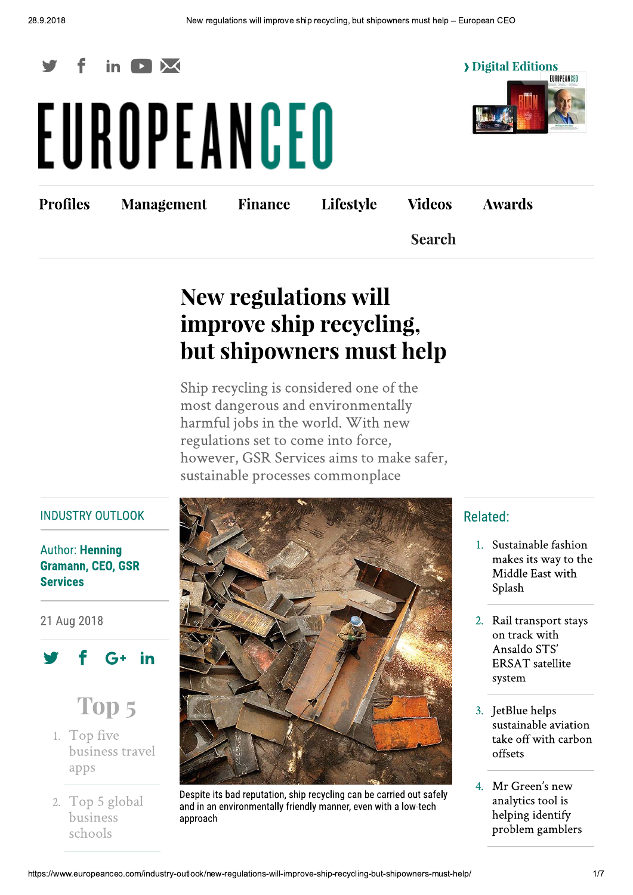

# EUROPEANCEO



**Profiles** 

**Management** 

**Finance** 

Lifestyle

**Awards** 

**Search** 

**Videos** 

# **New regulations will** improve ship recycling, but shipowners must help

Ship recycling is considered one of the most dangerous and environmentally harmful jobs in the world. With new regulations set to come into force, however, GSR Services aims to make safer, sustainable processes commonplace

#### **INDUSTRY OUTLOOK**

#### **Author: Henning Gramann, CEO, GSR Services**

21 Aug 2018





- 1. Top five business travel apps
- 2. Top 5 global business schools



Despite its bad reputation, ship recycling can be carried out safely and in an environmentally friendly manner, even with a low-tech approach

# Related:

- 1. Sustainable fashion makes its way to the Middle East with Splash
- 2. Rail transport stays on track with Ansaldo STS' **ERSAT** satellite system
- 3. JetBlue helps sustainable aviation take off with carbon offsets
- 4. Mr Green's new analytics tool is helping identify problem gamblers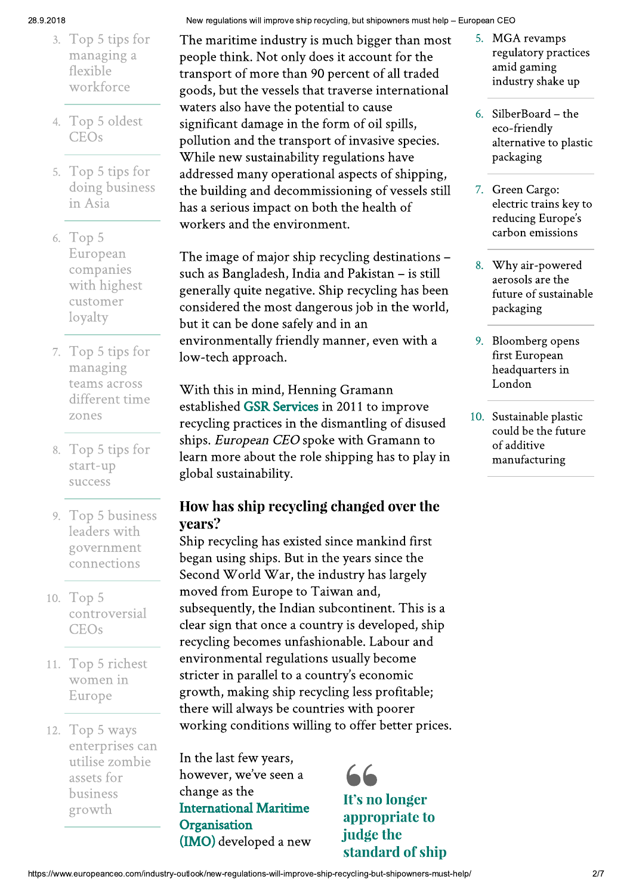#### 28.9.2018

- 3. Top 5 tips for managing a flexible workforce
- 4. Top 5 oldest **CEOs**
- 5. Top 5 tips for doing business in Asia
- 6. Top 5 European companies with highest customer loyalty
- 7. Top 5 tips for managing teams across different time zones
- 8. Top 5 tips for start-up success
- 9. Top 5 business leaders with government connections
- 10. Top 5 controversial **CEOs**
- 11. Top 5 richest women in Europe
- 12. Top 5 ways enterprises can utilise zombie assets for business growth

New regulations will improve ship recycling, but shipowners must help - European CEO

The maritime industry is much bigger than most people think. Not only does it account for the transport of more than 90 percent of all traded goods, but the vessels that traverse international waters also have the potential to cause significant damage in the form of oil spills, pollution and the transport of invasive species. While new sustainability regulations have addressed many operational aspects of shipping, the building and decommissioning of vessels still has a serious impact on both the health of workers and the environment.

The image of major ship recycling destinations such as Bangladesh, India and Pakistan - is still generally quite negative. Ship recycling has been considered the most dangerous job in the world, but it can be done safely and in an environmentally friendly manner, even with a low-tech approach.

With this in mind, Henning Gramann established GSR Services in 2011 to improve recycling practices in the dismantling of disused ships. European CEO spoke with Gramann to learn more about the role shipping has to play in global sustainability.

# How has ship recycling changed over the years?

Ship recycling has existed since mankind first began using ships. But in the years since the Second World War, the industry has largely moved from Europe to Taiwan and, subsequently, the Indian subcontinent. This is a clear sign that once a country is developed, ship recycling becomes unfashionable. Labour and environmental regulations usually become stricter in parallel to a country's economic growth, making ship recycling less profitable; there will always be countries with poorer working conditions willing to offer better prices.

In the last few years, however, we've seen a change as the **International Maritime** Organisation (IMO) developed a new



- 5. MGA revamps regulatory practices amid gaming industry shake up
- 6. SilberBoard the eco-friendly alternative to plastic packaging
- Green Cargo: 7. electric trains key to reducing Europe's carbon emissions
- Why air-powered 8. aerosols are the future of sustainable packaging
- 9. Bloomberg opens first European headquarters in London
- 10. Sustainable plastic could be the future of additive manufacturing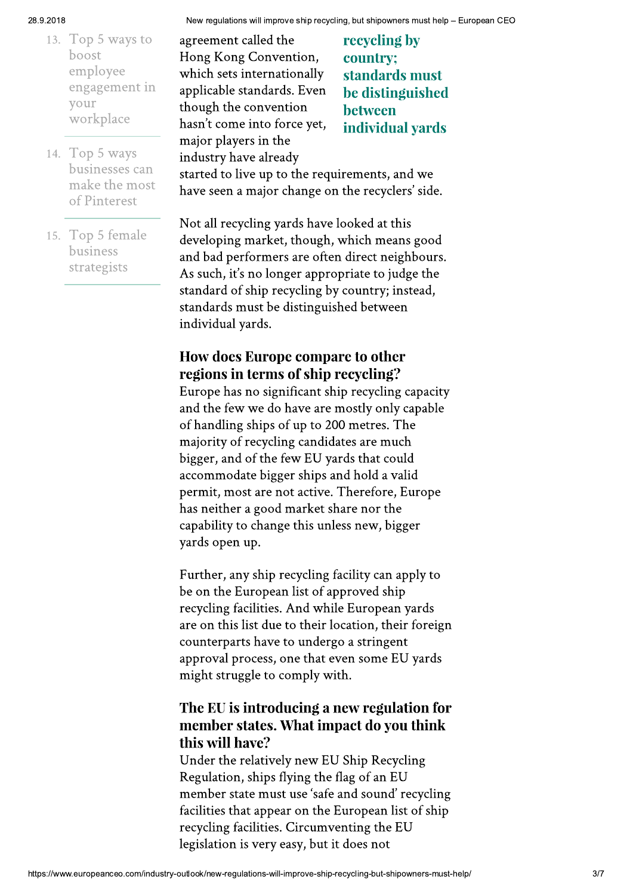#### 28.9.2018

- 13. Top 5 ways to boost employee engagement in your workplace
- 14. Top 5 ways businesses can make the most of Pinterest
- 15. Top 5 female business strategists

agreement called the Hong Kong Convention, which sets internationally applicable standards. Even though the convention hasn't come into force yet, major players in the industry have already

recycling by country; standards must be distinguished between individual yards

started to live up to the requirements, and we have seen a major change on the recyclers' side.

Not all recycling yards have looked at this developing market, though, which means good and bad performers are often direct neighbours. As such, it's no longer appropriate to judge the standard of ship recycling by country; instead, standards must be distinguished between individual yards.

# **How does Europe compare to other** regions in terms of ship recycling?

Europe has no significant ship recycling capacity and the few we do have are mostly only capable of handling ships of up to 200 metres. The majority of recycling candidates are much bigger, and of the few EU yards that could accommodate bigger ships and hold a valid permit, most are not active. Therefore, Europe has neither a good market share nor the capability to change this unless new, bigger vards open up.

Further, any ship recycling facility can apply to be on the European list of approved ship recycling facilities. And while European yards are on this list due to their location, their foreign counterparts have to undergo a stringent approval process, one that even some EU yards might struggle to comply with.

# The EU is introducing a new regulation for member states. What impact do you think this will have?

Under the relatively new EU Ship Recycling Regulation, ships flying the flag of an EU member state must use 'safe and sound' recycling facilities that appear on the European list of ship recycling facilities. Circumventing the EU legislation is very easy, but it does not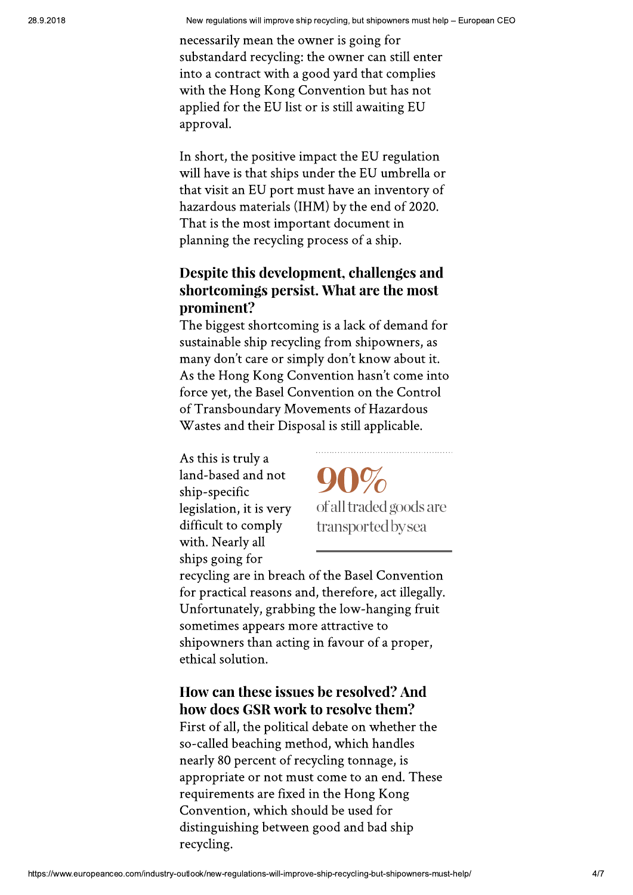necessarily mean the owner is going for substandard recycling: the owner can still enter into a contract with a good yard that complies with the Hong Kong Convention but has not applied for the EU list or is still awaiting EU approval.

In short, the positive impact the EU regulation will have is that ships under the EU umbrella or that visit an EU port must have an inventory of hazardous materials (IHM) by the end of 2020. That is the most important document in planning the recycling process of a ship.

# Despite this development, challenges and shortcomings persist. What are the most prominent?

The biggest shortcoming is a lack of demand for sustainable ship recycling from shipowners, as many don't care or simply don't know about it. As the Hong Kong Convention hasn't come into force yet, the Basel Convention on the Control of Transboundary Movements of Hazardous Wastes and their Disposal is still applicable.

As this is truly a land-based and not ship-specific legislation, it is very difficult to comply with. Nearly all ships going for

of all traded goods are transported by sea

recycling are in breach of the Basel Convention for practical reasons and, therefore, act illegally. Unfortunately, grabbing the low-hanging fruit sometimes appears more attractive to shipowners than acting in favour of a proper, ethical solution.

# How can these issues be resolved? And how does GSR work to resolve them?

First of all, the political debate on whether the so-called beaching method, which handles nearly 80 percent of recycling tonnage, is appropriate or not must come to an end. These requirements are fixed in the Hong Kong Convention, which should be used for distinguishing between good and bad ship recycling.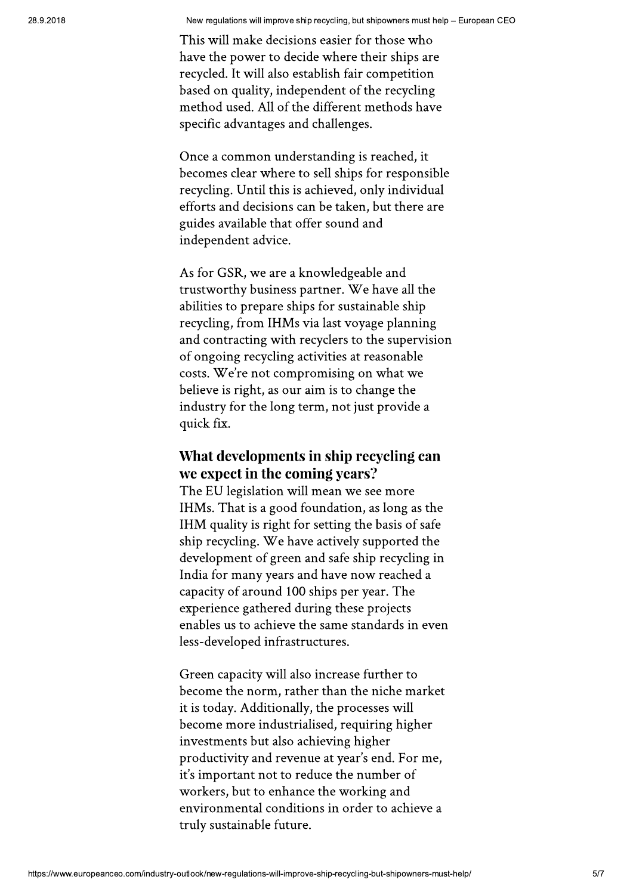This will make decisions easier for those who have the power to decide where their ships are recycled. It will also establish fair competition based on quality, independent of the recycling method used. All of the different methods have specific advantages and challenges.

Once a common understanding is reached, it becomes clear where to sell ships for responsible recycling. Until this is achieved, only individual efforts and decisions can be taken, but there are guides available that offer sound and independent advice.

As for GSR, we are a knowledgeable and trustworthy business partner. We have all the abilities to prepare ships for sustainable ship recycling, from IHMs via last voyage planning and contracting with recyclers to the supervision of ongoing recycling activities at reasonable costs. We're not compromising on what we believe is right, as our aim is to change the industry for the long term, not just provide a quick fix.

### What developments in ship recycling can we expect in the coming years?

The EU legislation will mean we see more IHMs. That is a good foundation, as long as the IHM quality is right for setting the basis of safe ship recycling. We have actively supported the development of green and safe ship recycling in India for many years and have now reached a capacity of around 100 ships per year. The experience gathered during these projects enables us to achieve the same standards in even less-developed infrastructures.

Green capacity will also increase further to become the norm, rather than the niche market it is today. Additionally, the processes will become more industrialised, requiring higher investments but also achieving higher productivity and revenue at year's end. For me, it's important not to reduce the number of workers, but to enhance the working and environmental conditions in order to achieve a truly sustainable future.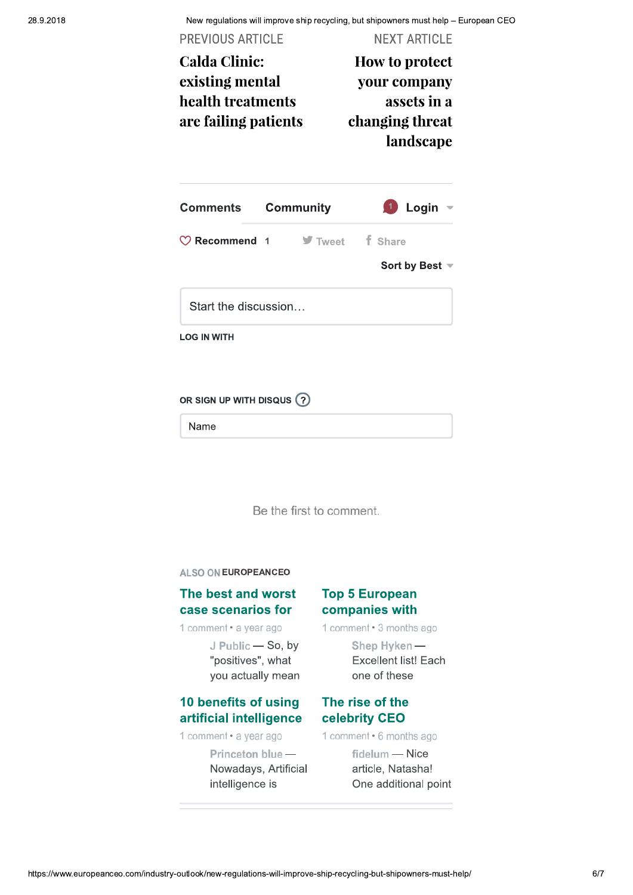New regulations will improve ship recycling, but shipowners must help - European CEO

| How to protect                                 |  |  |           |
|------------------------------------------------|--|--|-----------|
| your company<br>assets in a<br>changing threat |  |  |           |
|                                                |  |  | landscape |
|                                                |  |  | Login     |
| f Share<br>$\blacktriangleright$ Tweet         |  |  |           |
| Sort by Best $\equiv$                          |  |  |           |
|                                                |  |  |           |
|                                                |  |  |           |
|                                                |  |  |           |

Be the first to comment.

ALSO ON EUROPEANCEO

#### The best and worst case scenarios for

1 comment · a year ago

J Public - So, by "positives", what you actually mean

#### 10 benefits of using artificial intelligence

1 comment · a year ago

Princeton blue-Nowadays, Artificial intelligence is

#### **Top 5 European** companies with

1 comment · 3 months ago

Shep Hyken-**Excellent list! Each** one of these

#### The rise of the celebrity CEO

1 comment · 6 months ago

fidelum - Nice article, Natasha! One additional point